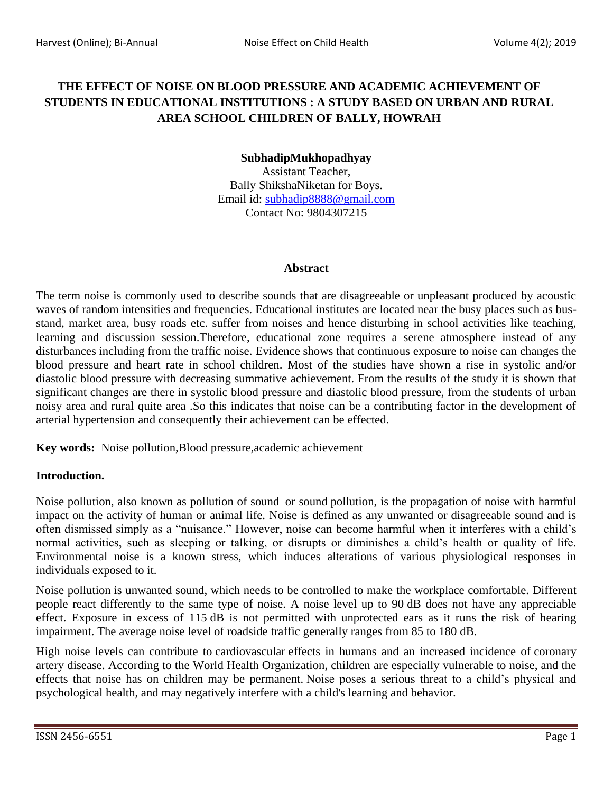# **THE EFFECT OF NOISE ON BLOOD PRESSURE AND ACADEMIC ACHIEVEMENT OF STUDENTS IN EDUCATIONAL INSTITUTIONS : A STUDY BASED ON URBAN AND RURAL AREA SCHOOL CHILDREN OF BALLY, HOWRAH**

## **SubhadipMukhopadhyay**

Assistant Teacher, Bally ShikshaNiketan for Boys. Email id: [subhadip8888@gmail.com](mailto:subhadip8888@gmail.com) Contact No: 9804307215

#### **Abstract**

The term noise is commonly used to describe sounds that are disagreeable or unpleasant produced by acoustic waves of random intensities and frequencies. Educational institutes are located near the busy places such as busstand, market area, busy roads etc. suffer from noises and hence disturbing in school activities like teaching, learning and discussion session.Therefore, educational zone requires a serene atmosphere instead of any disturbances including from the traffic noise. Evidence shows that continuous exposure to noise can changes the blood pressure and heart rate in school children. Most of the studies have shown a rise in systolic and/or diastolic blood pressure with decreasing summative achievement. From the results of the study it is shown that significant changes are there in systolic blood pressure and diastolic blood pressure, from the students of urban noisy area and rural quite area .So this indicates that noise can be a contributing factor in the development of arterial hypertension and consequently their achievement can be effected.

**Key words:** Noise pollution,Blood pressure,academic achievement

# **Introduction.**

Noise pollution, also known as pollution of sound or sound [pollution,](https://en.wikipedia.org/wiki/Pollution) is the propagation of noise with harmful impact on the activity of human or animal life. Noise is defined as any unwanted or disagreeable sound and is often dismissed simply as a "nuisance." However, noise can become harmful when it interferes with a child's normal activities, such as sleeping or talking, or disrupts or diminishes a child's health or quality of life. Environmental noise is a known stress, which induces alterations of various physiological responses in individuals exposed to it.

[Noise pollution](https://www.sciencedirect.com/topics/engineering/noise-pollution) is unwanted sound, which needs to be controlled to make the workplace comfortable. Different people react differently to the same type of noise. A noise level up to 90 dB does not have any appreciable effect. Exposure in excess of 115 dB is not permitted with unprotected ears as it runs the risk of hearing impairment. The average noise level of roadside traffic generally ranges from 85 to 180 dB.

High noise levels can contribute to [cardiovascular](https://en.wikipedia.org/wiki/Cardiovascular) effects in humans and an increased incidence of [coronary](https://en.wikipedia.org/wiki/Coronary_artery_disease)  [artery disease.](https://en.wikipedia.org/wiki/Coronary_artery_disease) According to the World Health Organization, children are especially vulnerable to noise, and the effects that noise has on children may be permanent. Noise poses a serious threat to a child's physical and psychological health, and may negatively interfere with a child's learning and behavior.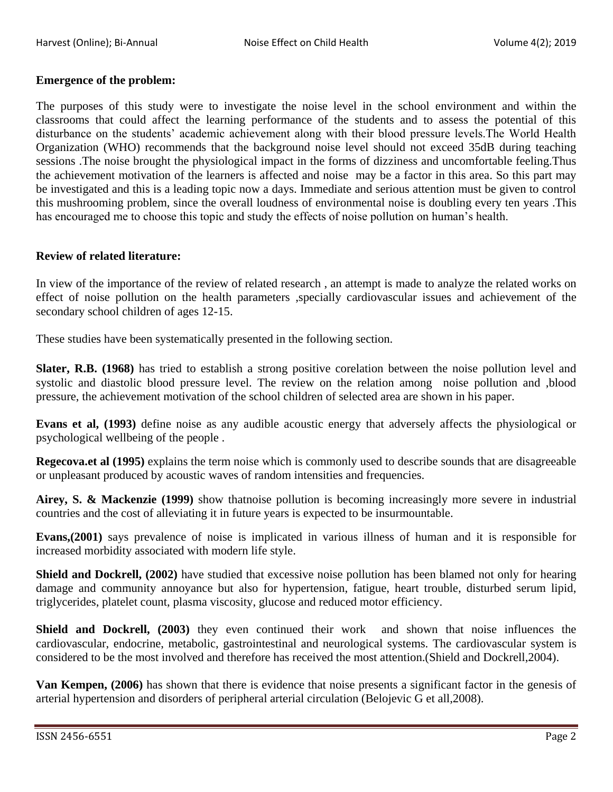#### **Emergence of the problem:**

The purposes of this study were to investigate the noise level in the school environment and within the classrooms that could affect the learning performance of the students and to assess the potential of this disturbance on the students' academic achievement along with their blood pressure levels.The World Health Organization (WHO) recommends that the background noise level should not exceed 35dB during teaching sessions .The noise brought the physiological impact in the forms of dizziness and uncomfortable feeling.Thus the achievement motivation of the learners is affected and noise may be a factor in this area. So this part may be investigated and this is a leading topic now a days. Immediate and serious attention must be given to control this mushrooming problem, since the overall loudness of environmental noise is doubling every ten years .This has encouraged me to choose this topic and study the effects of noise pollution on human's health.

#### **Review of related literature:**

In view of the importance of the review of related research , an attempt is made to analyze the related works on effect of noise pollution on the health parameters ,specially cardiovascular issues and achievement of the secondary school children of ages 12-15.

These studies have been systematically presented in the following section.

**Slater, R.B. (1968)** has tried to establish a strong positive corelation between the noise pollution level and systolic and diastolic blood pressure level. The review on the relation among noise pollution and ,blood pressure, the achievement motivation of the school children of selected area are shown in his paper.

**Evans et al, (1993)** define noise as any audible acoustic energy that adversely affects the physiological or psychological wellbeing of the people .

**Regecova.et al (1995)** explains the term noise which is commonly used to describe sounds that are disagreeable or unpleasant produced by acoustic waves of random intensities and frequencies.

**Airey, S. & Mackenzie (1999)** show thatnoise pollution is becoming increasingly more severe in industrial countries and the cost of alleviating it in future years is expected to be insurmountable.

**Evans,(2001)** says prevalence of noise is implicated in various illness of human and it is responsible for increased morbidity associated with modern life style.

**Shield and Dockrell, (2002)** have studied that excessive noise pollution has been blamed not only for hearing damage and community annoyance but also for hypertension, fatigue, heart trouble, disturbed serum lipid, triglycerides, platelet count, plasma viscosity, glucose and reduced motor efficiency.

**Shield and Dockrell, (2003)** they even continued their work and shown that noise influences the cardiovascular, endocrine, metabolic, gastrointestinal and neurological systems. The cardiovascular system is considered to be the most involved and therefore has received the most attention.(Shield and Dockrell,2004).

**Van Kempen, (2006)** has shown that there is evidence that noise presents a significant factor in the genesis of arterial hypertension and disorders of peripheral arterial circulation (Belojevic G et all,2008).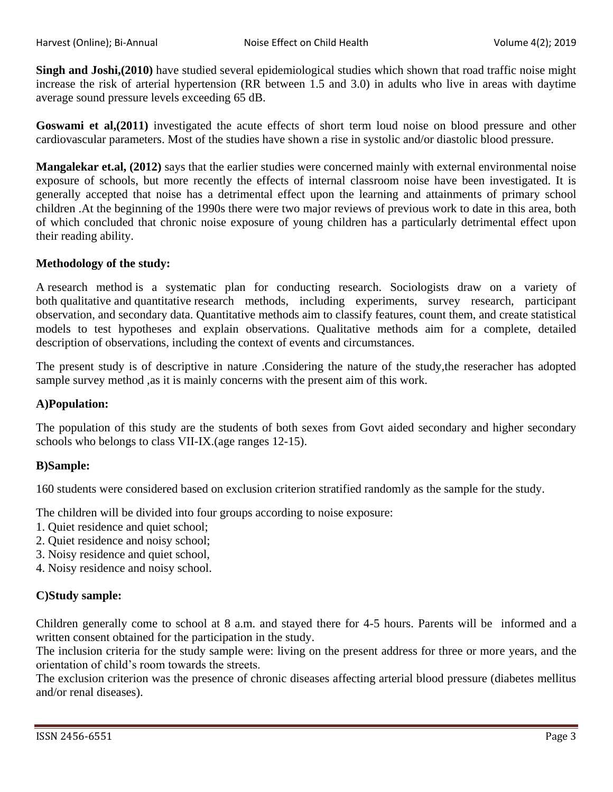**Singh and Joshi,(2010)** have studied several epidemiological studies which shown that road traffic noise might increase the risk of arterial hypertension (RR between 1.5 and 3.0) in adults who live in areas with daytime average sound pressure levels exceeding 65 dB.

**Goswami et al, (2011)** investigated the acute effects of short term loud noise on blood pressure and other cardiovascular parameters. Most of the studies have shown a rise in systolic and/or diastolic blood pressure.

**Mangalekar et.al, (2012)** says that the earlier studies were concerned mainly with external environmental noise exposure of schools, but more recently the effects of internal classroom noise have been investigated. It is generally accepted that noise has a detrimental effect upon the learning and attainments of primary school children .At the beginning of the 1990s there were two major reviews of previous work to date in this area, both of which concluded that chronic noise exposure of young children has a particularly detrimental effect upon their reading ability.

## **Methodology of the study:**

A research method is a systematic plan for conducting research. Sociologists draw on a variety of both qualitative and quantitative research methods, including experiments, survey research, participant observation, and secondary data. Quantitative methods aim to classify features, count them, and create statistical models to test hypotheses and explain observations. Qualitative methods aim for a complete, detailed description of observations, including the context of events and circumstances.

The present study is of descriptive in nature .Considering the nature of the study,the reseracher has adopted sample survey method ,as it is mainly concerns with the present aim of this work.

# **A)Population:**

The population of this study are the students of both sexes from Govt aided secondary and higher secondary schools who belongs to class VII-IX.(age ranges 12-15).

#### **B)Sample:**

160 students were considered based on exclusion criterion stratified randomly as the sample for the study.

The children will be divided into four groups according to noise exposure:

- 1. Quiet residence and quiet school;
- 2. Quiet residence and noisy school;
- 3. Noisy residence and quiet school,
- 4. Noisy residence and noisy school.

# **C)Study sample:**

Children generally come to school at 8 a.m. and stayed there for 4-5 hours. Parents will be informed and a written consent obtained for the participation in the study.

The inclusion criteria for the study sample were: living on the present address for three or more years, and the orientation of child's room towards the streets.

The exclusion criterion was the presence of chronic diseases affecting arterial blood pressure (diabetes mellitus and/or renal diseases).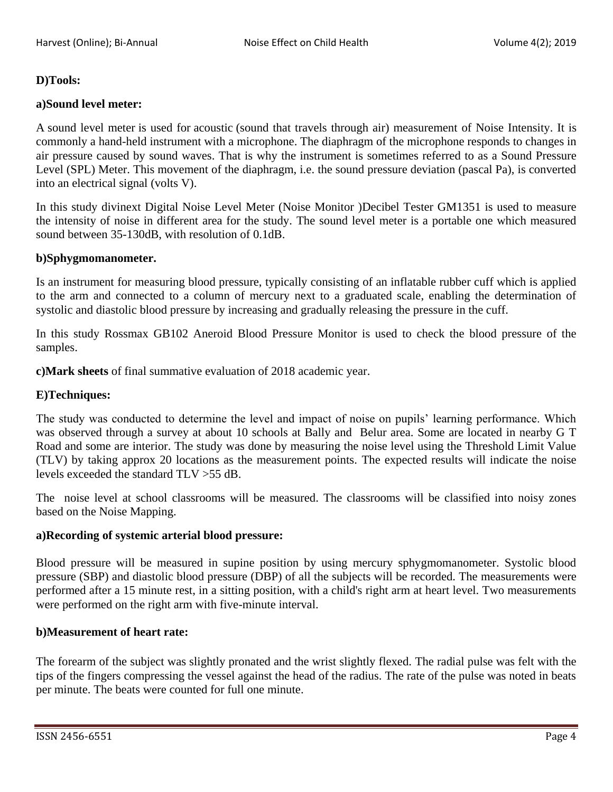## **D)Tools:**

## **a)Sound level meter:**

A sound level meter is used for [acoustic](https://en.wikipedia.org/wiki/Acoustics) (sound that travels through air) measurement of Noise Intensity. It is commonly a hand-held instrument with a [microphone.](https://en.wikipedia.org/wiki/Microphone) The [diaphragm](https://en.wikipedia.org/wiki/Diaphragm_(acoustics)) of the microphone responds to changes in air pressure caused by sound waves. That is why the instrument is sometimes referred to as a Sound Pressure Level (SPL) Meter. This movement of the diaphragm, i.e. the sound pressure deviation (pascal Pa), is converted into an [electrical signal](https://en.wikipedia.org/wiki/Signal_(electrical_engineering)) [\(volts V\)](https://en.wikipedia.org/wiki/Volt).

In this study divinext Digital Noise Level Meter (Noise Monitor )Decibel Tester GM1351 is used to measure the intensity of noise in different area for the study. The sound level meter is a portable one which measured sound between 35-130dB, with resolution of 0.1dB.

#### **b)Sphygmomanometer.**

Is an instrument for measuring blood pressure, typically consisting of an inflatable rubber cuff which is applied to the arm and connected to a column of mercury next to a graduated scale, enabling the determination of systolic and diastolic blood pressure by increasing and gradually releasing the pressure in the cuff.

In this study Rossmax GB102 Aneroid Blood Pressure Monitor is used to check the blood pressure of the samples.

**c)Mark sheets** of final summative evaluation of 2018 academic year.

#### **E)Techniques:**

The study was conducted to determine the level and impact of noise on pupils' learning performance. Which was observed through a survey at about 10 schools at Bally and Belur area. Some are located in nearby G T Road and some are interior. The study was done by measuring the noise level using the Threshold Limit Value (TLV) by taking approx 20 locations as the measurement points. The expected results will indicate the noise levels exceeded the standard TLV >55 dB.

The noise level at school classrooms will be measured. The classrooms will be classified into noisy zones based on the Noise Mapping.

#### **a)Recording of systemic arterial blood pressure:**

Blood pressure will be measured in supine position by using mercury sphygmomanometer. Systolic blood pressure (SBP) and diastolic blood pressure (DBP) of all the subjects will be recorded. The measurements were performed after a 15 minute rest, in a sitting position, with a child's right arm at heart level. Two measurements were performed on the right arm with five-minute interval.

#### **b)Measurement of heart rate:**

The forearm of the subject was slightly pronated and the wrist slightly flexed. The radial pulse was felt with the tips of the fingers compressing the vessel against the head of the radius. The rate of the pulse was noted in beats per minute. The beats were counted for full one minute.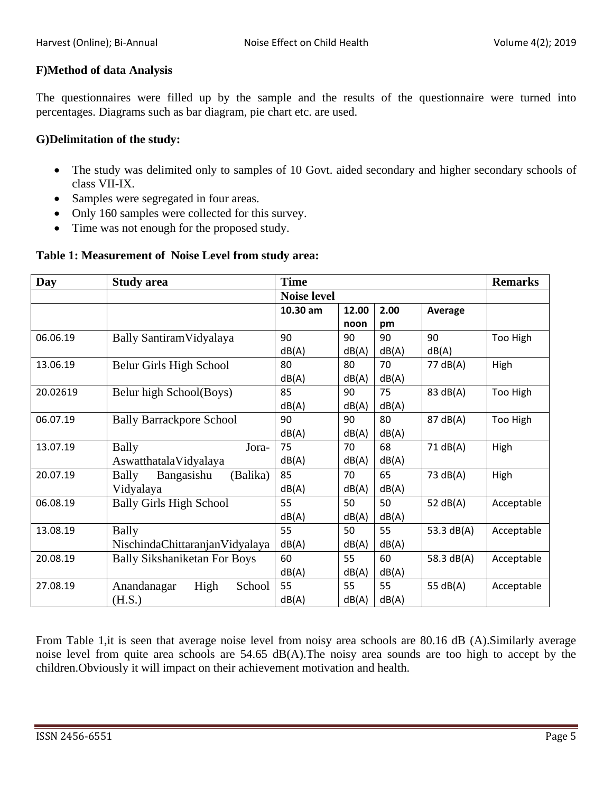# **F)Method of data Analysis**

The questionnaires were filled up by the sample and the results of the questionnaire were turned into percentages. Diagrams such as bar diagram, pie chart etc. are used.

#### **G)Delimitation of the study:**

- The study was delimited only to samples of 10 Govt. aided secondary and higher secondary schools of class VII-IX.
- Samples were segregated in four areas.
- Only 160 samples were collected for this survey.
- Time was not enough for the proposed study.

# **Table 1: Measurement of Noise Level from study area:**

| Day      | <b>Study area</b>                      | <b>Time</b>        |       | <b>Remarks</b> |            |            |
|----------|----------------------------------------|--------------------|-------|----------------|------------|------------|
|          |                                        | <b>Noise level</b> |       |                |            |            |
|          |                                        | 10.30 am           | 12.00 | 2.00           | Average    |            |
|          |                                        |                    | noon  | pm             |            |            |
| 06.06.19 | Bally Santiram Vidyalaya               | 90                 | 90    | 90             | 90         | Too High   |
|          |                                        | dB(A)              | dB(A) | dB(A)          | dB(A)      |            |
| 13.06.19 | Belur Girls High School                | 80                 | 80    | 70             | 77 dB(A)   | High       |
|          |                                        | dB(A)              | dB(A) | dB(A)          |            |            |
| 20.02619 | Belur high School(Boys)                | 85                 | 90    | 75             | 83 dB(A)   | Too High   |
|          |                                        | dB(A)              | dB(A) | dB(A)          |            |            |
| 06.07.19 | <b>Bally Barrackpore School</b>        | 90                 | 90    | 80             | 87 dB(A)   | Too High   |
|          |                                        | dB(A)              | dB(A) | dB(A)          |            |            |
| 13.07.19 | <b>Bally</b><br>Jora-                  | 75                 | 70    | 68             | 71 dB(A)   | High       |
|          | AswatthatalaVidyalaya                  | dB(A)              | dB(A) | dB(A)          |            |            |
| 20.07.19 | Bangasishu<br>(Balika)<br><b>Bally</b> | 85                 | 70    | 65             | 73 dB(A)   | High       |
|          | Vidyalaya                              | dB(A)              | dB(A) | dB(A)          |            |            |
| 06.08.19 | <b>Bally Girls High School</b>         | 55                 | 50    | 50             | 52 $dB(A)$ | Acceptable |
|          |                                        | dB(A)              | dB(A) | dB(A)          |            |            |
| 13.08.19 | <b>Bally</b>                           | 55                 | 50    | 55             | 53.3 dB(A) | Acceptable |
|          | NischindaChittaranjanVidyalaya         | dB(A)              | dB(A) | dB(A)          |            |            |
| 20.08.19 | <b>Bally Sikshaniketan For Boys</b>    | 60                 | 55    | 60             | 58.3 dB(A) | Acceptable |
|          |                                        | dB(A)              | dB(A) | dB(A)          |            |            |
| 27.08.19 | High<br>Anandanagar<br>School          | 55                 | 55    | 55             | 55 dB(A)   | Acceptable |
|          | (H.S.)                                 | dB(A)              | dB(A) | dB(A)          |            |            |

From Table 1,it is seen that average noise level from noisy area schools are 80.16 dB (A).Similarly average noise level from quite area schools are 54.65 dB(A).The noisy area sounds are too high to accept by the children.Obviously it will impact on their achievement motivation and health.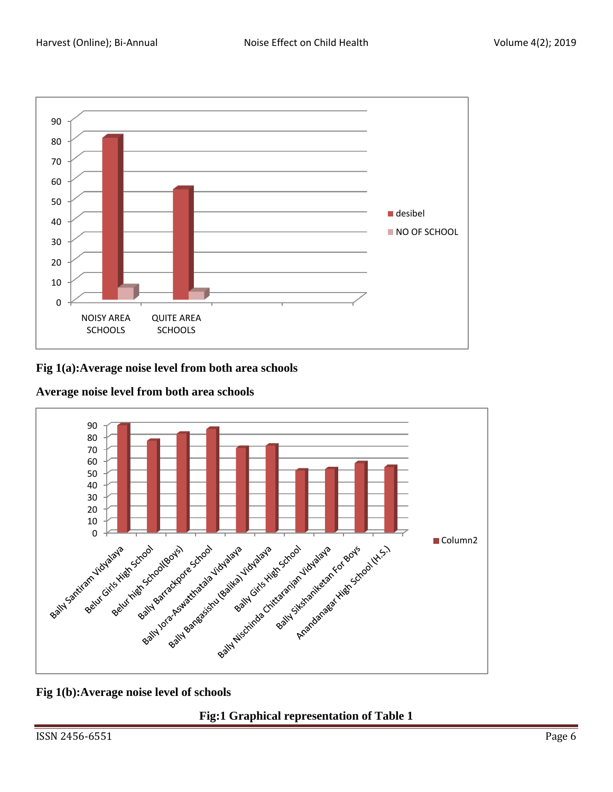

## **Fig 1(a):Average noise level from both area schools**



**Average noise level from both area schools**

# **Fig 1(b):Average noise level of schools**

**Fig:1 Graphical representation of Table 1**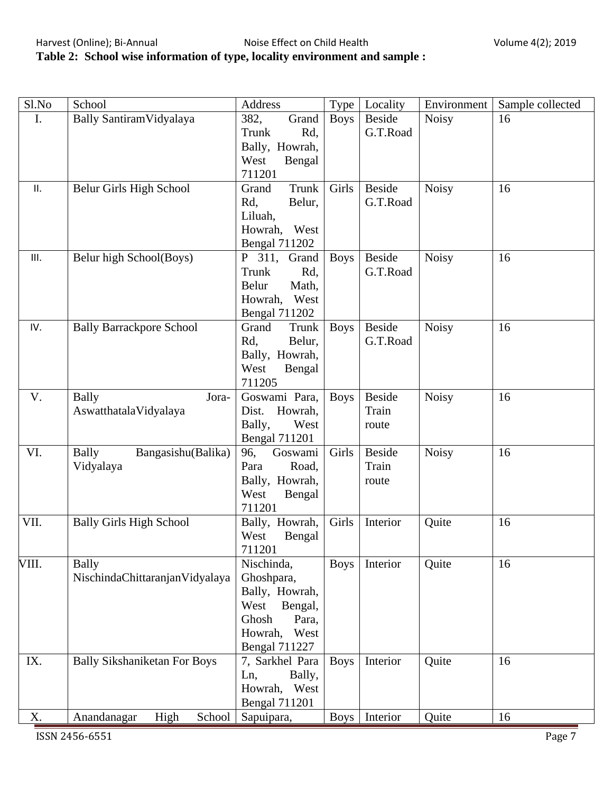# **Table 2: School wise information of type, locality environment and sample :**

| Sl.No | School                              | Address                                | Type        | Locality      | Environment  | Sample collected |
|-------|-------------------------------------|----------------------------------------|-------------|---------------|--------------|------------------|
| I.    | Bally Santiram Vidyalaya            | 382,<br>Grand                          | <b>Boys</b> | <b>Beside</b> | <b>Noisy</b> | 16               |
|       |                                     | Rd,<br>Trunk                           |             | G.T.Road      |              |                  |
|       |                                     | Bally, Howrah,                         |             |               |              |                  |
|       |                                     | West<br>Bengal                         |             |               |              |                  |
|       |                                     | 711201                                 |             |               |              |                  |
| ΙΙ.   | Belur Girls High School             | Trunk<br>Grand                         | Girls       | <b>Beside</b> | Noisy        | 16               |
|       |                                     | Rd,<br>Belur,                          |             | G.T.Road      |              |                  |
|       |                                     | Liluah,                                |             |               |              |                  |
|       |                                     | Howrah,<br>West                        |             |               |              |                  |
|       |                                     | <b>Bengal 711202</b>                   |             |               |              |                  |
| III.  | Belur high School(Boys)             | P 311,<br>Grand                        | <b>Boys</b> | <b>Beside</b> | <b>Noisy</b> | 16               |
|       |                                     | Rd,<br>Trunk                           |             | G.T.Road      |              |                  |
|       |                                     | Math,<br>Belur                         |             |               |              |                  |
|       |                                     | Howrah,<br>West                        |             |               |              |                  |
| IV.   | <b>Bally Barrackpore School</b>     | <b>Bengal 711202</b><br>Grand<br>Trunk | <b>Boys</b> | <b>Beside</b> | <b>Noisy</b> | 16               |
|       |                                     | Belur,<br>Rd,                          |             | G.T.Road      |              |                  |
|       |                                     | Bally, Howrah,                         |             |               |              |                  |
|       |                                     | West<br>Bengal                         |             |               |              |                  |
|       |                                     | 711205                                 |             |               |              |                  |
| V.    | <b>Bally</b><br>Jora-               | Goswami Para,                          | <b>Boys</b> | <b>Beside</b> | <b>Noisy</b> | 16               |
|       | AswatthatalaVidyalaya               | Howrah,<br>Dist.                       |             | Train         |              |                  |
|       |                                     | Bally,<br>West                         |             | route         |              |                  |
|       |                                     | <b>Bengal 711201</b>                   |             |               |              |                  |
| VI.   | <b>Bally</b><br>Bangasishu(Balika)  | Goswami<br>96,                         | Girls       | <b>Beside</b> | <b>Noisy</b> | 16               |
|       | Vidyalaya                           | Para<br>Road,                          |             | Train         |              |                  |
|       |                                     | Bally, Howrah,                         |             | route         |              |                  |
|       |                                     | West<br>Bengal                         |             |               |              |                  |
|       |                                     | 711201                                 |             |               |              |                  |
| VII.  | <b>Bally Girls High School</b>      | Bally, Howrah,                         | Girls       | Interior      | Quite        | 16               |
|       |                                     | West<br>Bengal                         |             |               |              |                  |
|       |                                     | 711201                                 |             |               |              |                  |
| VIII. | <b>Bally</b>                        | Nischinda,                             | <b>Boys</b> | Interior      | Quite        | 16               |
|       | NischindaChittaranjanVidyalaya      | Ghoshpara,                             |             |               |              |                  |
|       |                                     | Bally, Howrah,<br>West                 |             |               |              |                  |
|       |                                     | Bengal,<br>Ghosh<br>Para,              |             |               |              |                  |
|       |                                     | West<br>Howrah,                        |             |               |              |                  |
|       |                                     | <b>Bengal 711227</b>                   |             |               |              |                  |
| IX.   | <b>Bally Sikshaniketan For Boys</b> | 7, Sarkhel Para                        | <b>Boys</b> | Interior      | Quite        | 16               |
|       |                                     | Ln,<br>Bally,                          |             |               |              |                  |
|       |                                     | Howrah, West                           |             |               |              |                  |
|       |                                     | <b>Bengal 711201</b>                   |             |               |              |                  |
| X.    | High<br>Anandanagar<br>School       | Sapuipara,                             | Boys        | Interior      | Quite        | 16               |

**ISSN 2456-6551** Page 7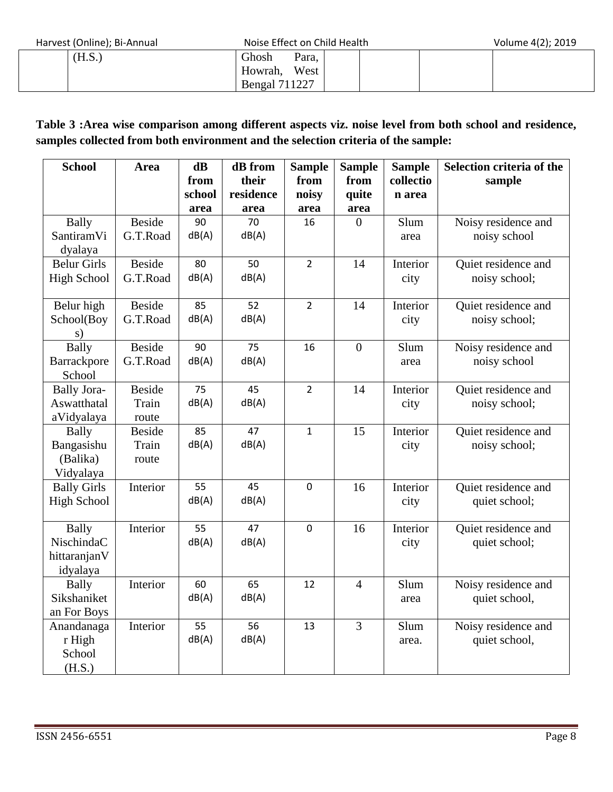Harvest (Online); Bi-Annual Noise Effect on Child Health

| Volume 4(2); 2019 |  |
|-------------------|--|
|-------------------|--|

| $\frac{1}{2}$ | <b>NUBLEMENT CHILD HEATH</b> | VUUUUUUUHUHUHUHUHUHUHUHUHUHUHUHU |
|---------------|------------------------------|----------------------------------|
| (H.S.)        | Ghosh<br>Para,               |                                  |
|               | West<br>Howrah,              |                                  |
|               | <b>Bengal 711227</b>         |                                  |

# **Table 3 :Area wise comparison among different aspects viz. noise level from both school and residence, samples collected from both environment and the selection criteria of the sample:**

| <b>School</b>      | Area          | $\mathbf{dB}$ | dB from   | <b>Sample</b>  | <b>Sample</b>  | <b>Sample</b> | Selection criteria of the |
|--------------------|---------------|---------------|-----------|----------------|----------------|---------------|---------------------------|
|                    |               | from          | their     | from           | from           | collectio     | sample                    |
|                    |               | school        | residence | noisy          | quite          | n area        |                           |
|                    |               | area          | area      | area           | area           |               |                           |
| <b>Bally</b>       | <b>Beside</b> | 90            | 70        | 16             | $\theta$       | Slum          | Noisy residence and       |
| SantiramVi         | G.T.Road      | dB(A)         | dB(A)     |                |                | area          | noisy school              |
| dyalaya            |               |               |           |                |                |               |                           |
| <b>Belur Girls</b> | <b>Beside</b> | 80            | 50        | $\overline{2}$ | 14             | Interior      | Quiet residence and       |
| <b>High School</b> | G.T.Road      | dB(A)         | dB(A)     |                |                | city          | noisy school;             |
|                    |               |               |           |                |                |               |                           |
| Belur high         | <b>Beside</b> | 85            | 52        | $\overline{2}$ | 14             | Interior      | Quiet residence and       |
| School(Boy         | G.T.Road      | dB(A)         | dB(A)     |                |                | city          | noisy school;             |
| s)                 |               |               |           |                |                |               |                           |
| <b>Bally</b>       | <b>Beside</b> | 90            | 75        | 16             | $\overline{0}$ | Slum          | Noisy residence and       |
| Barrackpore        | G.T.Road      | dB(A)         | dB(A)     |                |                | area          | noisy school              |
| School             |               |               |           |                |                |               |                           |
| <b>Bally Jora-</b> | <b>Beside</b> | 75            | 45        | $\overline{2}$ | 14             | Interior      | Quiet residence and       |
| Aswatthatal        | Train         | dB(A)         | dB(A)     |                |                | city          | noisy school;             |
| aVidyalaya         | route         |               |           |                |                |               |                           |
| <b>Bally</b>       | <b>Beside</b> | 85            | 47        | $\mathbf{1}$   | 15             | Interior      | Quiet residence and       |
| Bangasishu         | Train         | dB(A)         | dB(A)     |                |                | city          | noisy school;             |
| (Balika)           | route         |               |           |                |                |               |                           |
| Vidyalaya          |               |               |           |                |                |               |                           |
| <b>Bally Girls</b> | Interior      | 55            | 45        | $\mathbf 0$    | 16             | Interior      | Quiet residence and       |
| <b>High School</b> |               | dB(A)         | dB(A)     |                |                | city          | quiet school;             |
|                    |               |               |           |                |                |               |                           |
| <b>Bally</b>       | Interior      | 55            | 47        | $\pmb{0}$      | 16             | Interior      | Quiet residence and       |
| NischindaC         |               | dB(A)         | dB(A)     |                |                | city          | quiet school;             |
| hittaranjanV       |               |               |           |                |                |               |                           |
| idyalaya           |               |               |           |                |                |               |                           |
| <b>Bally</b>       | Interior      | 60            | 65        | 12             | $\overline{4}$ | Slum          | Noisy residence and       |
| Sikshaniket        |               | dB(A)         | dB(A)     |                |                | area          | quiet school,             |
| an For Boys        |               |               |           |                |                |               |                           |
| Anandanaga         | Interior      | 55            | 56        | 13             | $\overline{3}$ | Slum          | Noisy residence and       |
| r High             |               | dB(A)         | dB(A)     |                |                | area.         | quiet school,             |
| School             |               |               |           |                |                |               |                           |
| (H.S.)             |               |               |           |                |                |               |                           |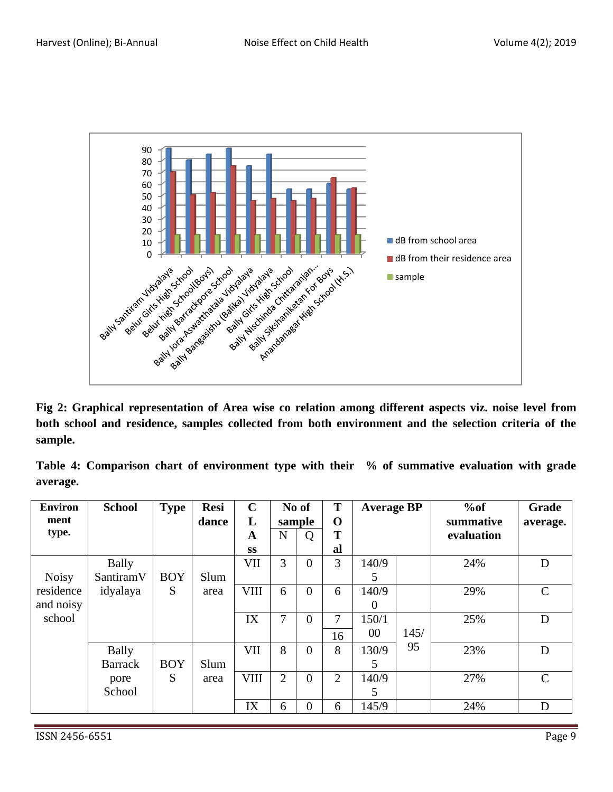

**Fig 2: Graphical representation of Area wise co relation among different aspects viz. noise level from both school and residence, samples collected from both environment and the selection criteria of the sample.**

**Table 4: Comparison chart of environment type with their % of summative evaluation with grade average.**

| <b>Environ</b> | <b>School</b>  | <b>Type</b> | <b>Resi</b> | $\mathbf C$ |                | No of          | T              | <b>Average BP</b> |      | %of        | Grade         |
|----------------|----------------|-------------|-------------|-------------|----------------|----------------|----------------|-------------------|------|------------|---------------|
| ment           |                |             | dance       | L           | sample         |                | $\mathbf 0$    |                   |      | summative  | average.      |
| type.          |                |             |             | A           | $\mathbf N$    | Q              | T              |                   |      | evaluation |               |
|                |                |             |             | <b>SS</b>   |                |                | al             |                   |      |            |               |
|                | <b>Bally</b>   |             |             | VII         | 3              | $\overline{0}$ | 3              | 140/9             |      | 24%        | D             |
| <b>Noisy</b>   | SantiramV      | <b>BOY</b>  | Slum        |             |                |                |                | 5                 |      |            |               |
| residence      | idyalaya       | S           | area        | <b>VIII</b> | 6              | $\overline{0}$ | 6              | 140/9             |      | 29%        | $\mathcal{C}$ |
| and noisy      |                |             |             |             |                |                |                | $\Omega$          |      |            |               |
| school         |                |             |             | IX          | 7              | $\overline{0}$ | 7              | 150/1             |      | 25%        | D             |
|                |                |             |             |             |                |                | 16             | 00                | 145/ |            |               |
|                | <b>Bally</b>   |             |             | VII         | 8              | $\overline{0}$ | 8              | 130/9             | 95   | 23%        | D             |
|                | <b>Barrack</b> | <b>BOY</b>  | Slum        |             |                |                |                | 5                 |      |            |               |
|                | pore           | S           | area        | <b>VIII</b> | $\overline{2}$ | $\overline{0}$ | $\overline{2}$ | 140/9             |      | 27%        | $\mathcal{C}$ |
|                | School         |             |             |             |                |                |                | 5                 |      |            |               |
|                |                |             |             | IX          | 6              | $\overline{0}$ | 6              | 145/9             |      | 24%        | D             |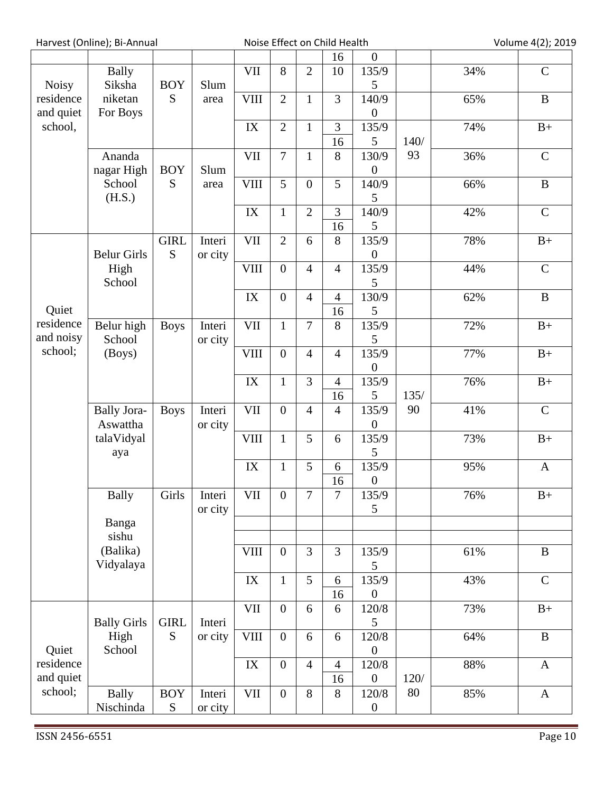Harvest (Online); Bi-Annual Noise Effect on Child Health Volume 4(2); 2019

|                        |                                |                              |                   |                                 |                  |                | 16                   | $\boldsymbol{0}$          |      |     |               |
|------------------------|--------------------------------|------------------------------|-------------------|---------------------------------|------------------|----------------|----------------------|---------------------------|------|-----|---------------|
| <b>Noisy</b>           | <b>Bally</b><br>Siksha         | <b>BOY</b>                   | Slum              | <b>VII</b>                      | 8                | $\overline{2}$ | 10                   | 135/9<br>5                |      | 34% | $\mathcal{C}$ |
| residence<br>and quiet | niketan<br>For Boys            | S                            | area              | <b>VIII</b>                     | $\overline{2}$   | $\mathbf{1}$   | 3                    | 140/9<br>$\boldsymbol{0}$ |      | 65% | $\bf{B}$      |
| school,                |                                |                              |                   | IX                              | $\overline{2}$   | $\mathbf{1}$   | 3<br>16              | 135/9<br>5                | 140/ | 74% | $B+$          |
|                        | Ananda<br>nagar High           | <b>BOY</b>                   | Slum              | <b>VII</b>                      | $\overline{7}$   | $\mathbf{1}$   | 8                    | 130/9<br>$\boldsymbol{0}$ | 93   | 36% | $\mathsf{C}$  |
|                        | School<br>(H.S.)               | S                            | area              | <b>VIII</b>                     | 5                | $\overline{0}$ | 5                    | 140/9<br>5                |      | 66% | $\, {\bf B}$  |
|                        |                                |                              |                   | $\text{IX}$                     | $\mathbf{1}$     | $\overline{2}$ | 3<br>16              | 140/9<br>5                |      | 42% | $\mathsf{C}$  |
|                        | <b>Belur Girls</b>             | <b>GIRL</b><br>S             | Interi<br>or city | <b>VII</b>                      | $\overline{2}$   | 6              | 8                    | 135/9<br>$\overline{0}$   |      | 78% | $B+$          |
|                        | High<br>School                 |                              |                   | <b>VIII</b>                     | $\overline{0}$   | $\overline{4}$ | $\overline{4}$       | 135/9<br>5                |      | 44% | $\mathsf{C}$  |
| Quiet                  |                                |                              |                   | IX                              | $\overline{0}$   | $\overline{4}$ | $\overline{4}$<br>16 | 130/9<br>5                |      | 62% | $\, {\bf B}$  |
| residence<br>and noisy | Belur high<br>School           | <b>Boys</b>                  | Interi<br>or city | <b>VII</b>                      | $\mathbf{1}$     | $\overline{7}$ | $8\,$                | 135/9<br>$\mathfrak{S}$   |      | 72% | $B+$          |
| school;                | (Boys)                         |                              |                   | <b>VIII</b>                     | $\overline{0}$   | $\overline{4}$ | $\overline{4}$       | 135/9<br>$\boldsymbol{0}$ |      | 77% | $B+$          |
|                        |                                |                              |                   | $\text{IX}$                     | $\mathbf{1}$     | 3              | $\overline{4}$<br>16 | 135/9<br>5                | 135/ | 76% | $B+$          |
|                        | <b>Bally Jora-</b><br>Aswattha | <b>Boys</b>                  | Interi<br>or city | <b>VII</b>                      | $\overline{0}$   | $\overline{4}$ | $\overline{4}$       | 135/9<br>$\boldsymbol{0}$ | 90   | 41% | $\mathsf{C}$  |
|                        | talaVidyal<br>aya              |                              |                   | <b>VIII</b>                     | $\mathbf{1}$     | 5              | 6                    | 135/9<br>5                |      | 73% | $B+$          |
|                        |                                |                              |                   | IX                              | $\mathbf{1}$     | 5              | 6<br>16              | 135/9<br>$\boldsymbol{0}$ |      | 95% | $\mathbf{A}$  |
|                        | <b>Bally</b>                   | Girls                        | Interi<br>or city | <b>VII</b>                      | $\boldsymbol{0}$ | $\overline{7}$ | $\overline{7}$       | 135/9<br>$\mathfrak{S}$   |      | 76% | $B+$          |
|                        | Banga<br>sishu                 |                              |                   |                                 |                  |                |                      |                           |      |     |               |
|                        | (Balika)<br>Vidyalaya          |                              |                   | <b>VIII</b>                     | $\boldsymbol{0}$ | 3              | 3                    | 135/9<br>5                |      | 61% | $\bf{B}$      |
|                        |                                |                              |                   | IX                              | $\mathbf{1}$     | 5              | 6<br>16              | 135/9<br>$\boldsymbol{0}$ |      | 43% | $\mathbf C$   |
|                        | <b>Bally Girls</b>             | <b>GIRL</b>                  | Interi            | <b>VII</b>                      | $\boldsymbol{0}$ | 6              | 6                    | 120/8<br>5                |      | 73% | $B+$          |
| Quiet                  | High<br>School                 | S                            | or city           | <b>VIII</b>                     | $\boldsymbol{0}$ | 6              | 6                    | 120/8<br>$\boldsymbol{0}$ |      | 64% | $\bf{B}$      |
| residence<br>and quiet |                                |                              |                   | $\ensuremath{\text{IX}}\xspace$ | $\boldsymbol{0}$ | $\overline{4}$ | $\overline{4}$<br>16 | 120/8<br>$\boldsymbol{0}$ | 120/ | 88% | $\mathbf{A}$  |
| school;                | <b>Bally</b><br>Nischinda      | <b>BOY</b><br>${\mathcal S}$ | Interi<br>or city | $\rm{VII}$                      | $\boldsymbol{0}$ | 8              | $8\,$                | 120/8<br>$\boldsymbol{0}$ | 80   | 85% | $\mathbf{A}$  |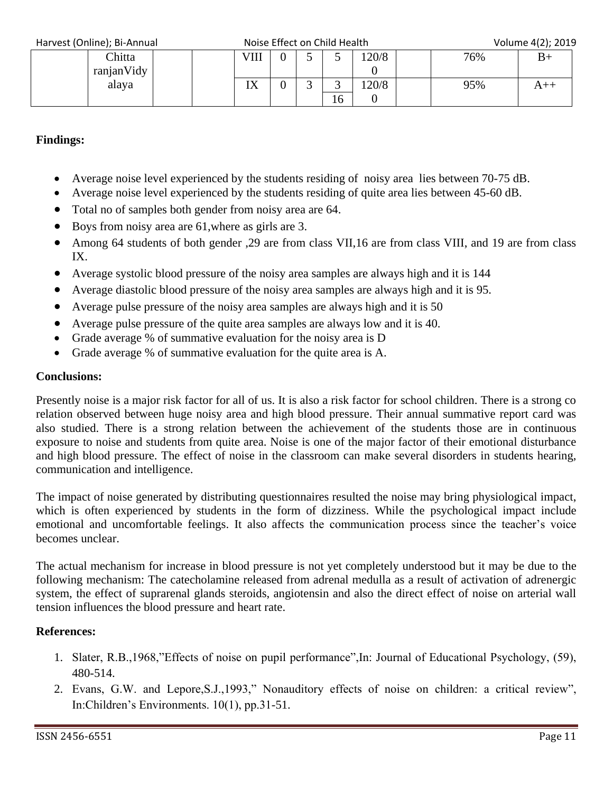Harvest (Online); Bi-Annual Noise Effect on Child Health Volume 4(2); 2019

| $\frac{1}{2}$ liai vest (Oliiliic), Di-Aliilual |            |  | <b>NOISE LITECT ON CHILD HEATH</b> |  |   |    |      |  | $VUUUUUE + (L)$ , $LUL$ |  |  |
|-------------------------------------------------|------------|--|------------------------------------|--|---|----|------|--|-------------------------|--|--|
|                                                 | Chitta     |  | VIII                               |  |   |    | 20/8 |  | 76%                     |  |  |
|                                                 | ranjanVidy |  |                                    |  |   |    |      |  |                         |  |  |
|                                                 | alaya      |  | 177                                |  | ت | ັ  | 20/8 |  | 95%                     |  |  |
|                                                 |            |  |                                    |  |   | 16 |      |  |                         |  |  |

## **Findings:**

- Average noise level experienced by the students residing of noisy area lies between 70-75 dB.
- Average noise level experienced by the students residing of quite area lies between 45-60 dB.
- Total no of samples both gender from noisy area are 64.
- Boys from noisy area are 61,where as girls are 3.
- Among 64 students of both gender ,29 are from class VII,16 are from class VIII, and 19 are from class IX.
- Average systolic blood pressure of the noisy area samples are always high and it is 144
- Average diastolic blood pressure of the noisy area samples are always high and it is 95.
- Average pulse pressure of the noisy area samples are always high and it is 50
- Average pulse pressure of the quite area samples are always low and it is 40.
- Grade average % of summative evaluation for the noisy area is D
- Grade average % of summative evaluation for the quite area is A.

## **Conclusions:**

Presently noise is a major risk factor for all of us. It is also a risk factor for school children. There is a strong co relation observed between huge noisy area and high blood pressure. Their annual summative report card was also studied. There is a strong relation between the achievement of the students those are in continuous exposure to noise and students from quite area. Noise is one of the major factor of their emotional disturbance and high blood pressure. The effect of noise in the classroom can make several disorders in students hearing, communication and intelligence.

The impact of noise generated by distributing questionnaires resulted the noise may bring physiological impact, which is often experienced by students in the form of dizziness. While the psychological impact include emotional and uncomfortable feelings. It also affects the communication process since the teacher's voice becomes unclear.

The actual mechanism for increase in blood pressure is not yet completely understood but it may be due to the following mechanism: The catecholamine released from adrenal medulla as a result of activation of adrenergic system, the effect of suprarenal glands steroids, angiotensin and also the direct effect of noise on arterial wall tension influences the blood pressure and heart rate.

# **References:**

- 1. Slater, R.B.,1968,"Effects of noise on pupil performance",In: Journal of Educational Psychology, (59), 480-514.
- 2. Evans, G.W. and Lepore,S.J.,1993," Nonauditory effects of noise on children: a critical review", In:Children's Environments. 10(1), pp.31-51.